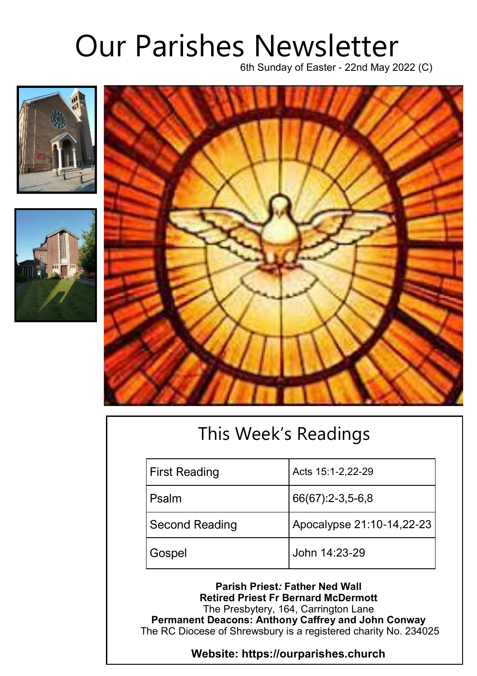# Our Parishes Newsletter

6th Sunday of Easter - 22nd May 2022 (C)







## This Week's Readings

| <b>First Reading</b> | Acts 15:1-2,22-29         |
|----------------------|---------------------------|
| Psalm                | 66(67):2-3,5-6,8          |
| Second Reading       | Apocalypse 21:10-14,22-23 |
| Gospel               | John 14:23-29             |

**Parish Priest***:* **Father Ned Wall Retired Priest Fr Bernard McDermott** The Presbytery, 164, Carrington Lane **Permanent Deacons: Anthony Caffrey and John Conway**  The RC Diocese of Shrewsbury is a registered charity No. 234025

**Website: https://ourparishes.church**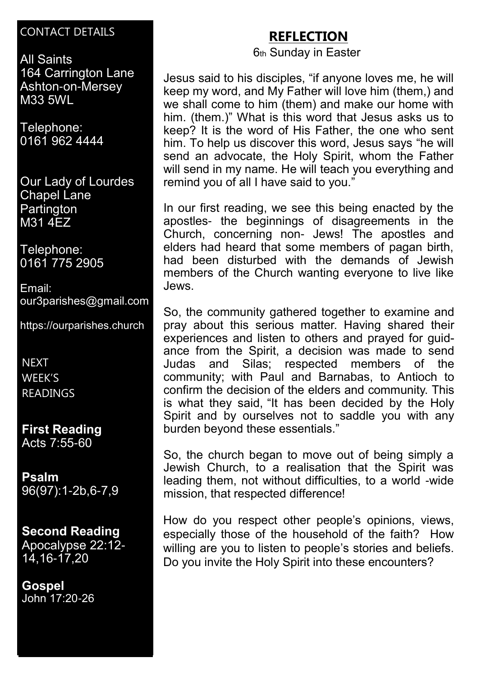#### CONTACT DETAILS

All Saints 164 Carrington Lane Ashton-on-Mersey M33 5WL

Telephone: 0161 962 4444

Our Lady of Lourdes Chapel Lane **Partington** M31 4EZ

Telephone: 0161 775 2905

Email: our3parishes@gmail.com

https://ourparishes.church

**NEXT** WEEK'S READINGS

**First Reading**  Acts 7:55-60

**Psalm** 96(97):1-2b,6-7,9

#### **Second Reading**

Apocalypse 22:12- 14,16-17,20

**Gospel**  John 17:20-26

### **REFLECTION**

6th Sunday in Easter

Jesus said to his disciples, "if anyone loves me, he will keep my word, and My Father will love him (them,) and we shall come to him (them) and make our home with him. (them.)" What is this word that Jesus asks us to keep? It is the word of His Father, the one who sent him. To help us discover this word, Jesus says "he will send an advocate, the Holy Spirit, whom the Father will send in my name. He will teach you everything and remind you of all I have said to you."

In our first reading, we see this being enacted by the apostles- the beginnings of disagreements in the Church, concerning non- Jews! The apostles and elders had heard that some members of pagan birth, had been disturbed with the demands of Jewish members of the Church wanting everyone to live like Jews.

 So, the community gathered together to examine and pray about this serious matter. Having shared their ance from the Spirit, a decision was made to send Judas and Silas; respected members of the community; with Paul and Barnabas, to Antioch to confirm the decision of the elders and community. This is what they said, "It has been decided by the Holy Spirit and by ourselves not to saddle you with any experiences and listen to others and prayed for guidburden beyond these essentials."

So, the church began to move out of being simply a Jewish Church, to a realisation that the Spirit was leading them, not without difficulties, to a world -wide mission, that respected difference!

 How do you respect other people's opinions, views, willing are you to listen to people's stories and beliefs. especially those of the household of the faith? How Do you invite the Holy Spirit into these encounters?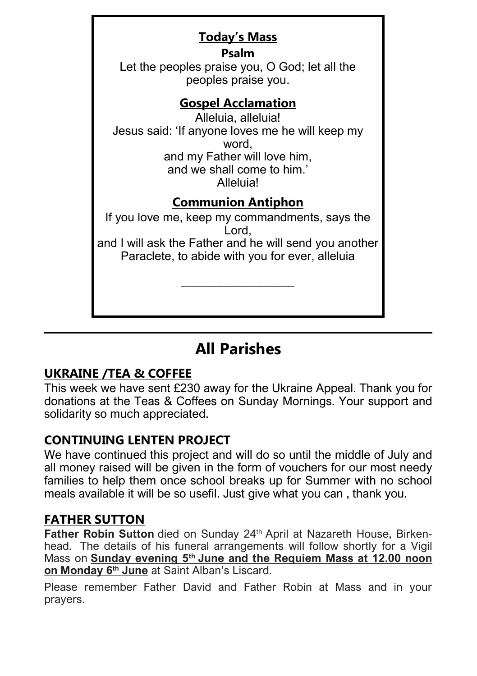

## **All Parishes**

#### **UKRAINE /TEA & COFFEE**

This week we have sent £230 away for the Ukraine Appeal. Thank you for donations at the Teas & Coffees on Sunday Mornings. Your support and solidarity so much appreciated.

#### **CONTINUING LENTEN PROJECT**

We have continued this project and will do so until the middle of July and all money raised will be given in the form of vouchers for our most needy families to help them once school breaks up for Summer with no school meals available it will be so usefil. Just give what you can , thank you.

#### **FATHER SUTTON**

Father Robin Sutton died on Sunday 24<sup>th</sup> April at Nazareth House, Birkenhead. The details of his funeral arrangements will follow shortly for a Vigil Mass on **Sunday evening 5th June and the Requiem Mass at 12.00 noon on Monday 6th June** at Saint Alban's Liscard.

Please remember Father David and Father Robin at Mass and in your prayers.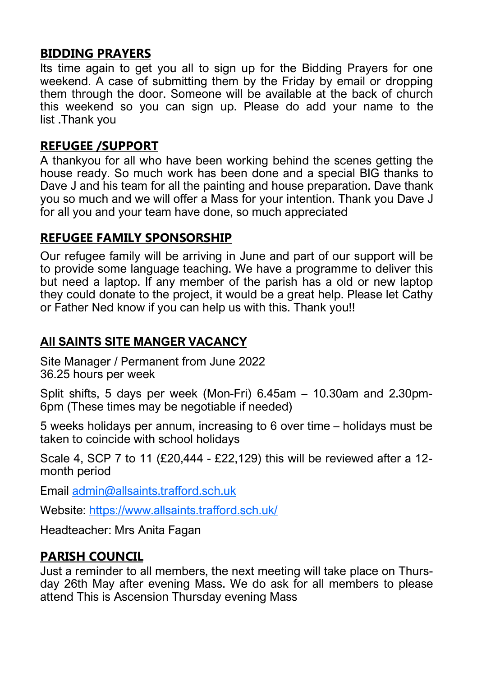#### **BIDDING PRAYERS**

Its time again to get you all to sign up for the Bidding Prayers for one weekend. A case of submitting them by the Friday by email or dropping them through the door. Someone will be available at the back of church this weekend so you can sign up. Please do add your name to the list .Thank you

#### **REFUGEE /SUPPORT**

A thankyou for all who have been working behind the scenes getting the house ready. So much work has been done and a special BIG thanks to Dave J and his team for all the painting and house preparation. Dave thank you so much and we will offer a Mass for your intention. Thank you Dave J for all you and your team have done, so much appreciated

#### **REFUGEE FAMILY SPONSORSHIP**

Our refugee family will be arriving in June and part of our support will be to provide some language teaching. We have a programme to deliver this but need a laptop. If any member of the parish has a old or new laptop they could donate to the project, it would be a great help. Please let Cathy or Father Ned know if you can help us with this. Thank you!!

#### **All SAINTS SITE MANGER VACANCY**

Site Manager / Permanent from June 2022 36.25 hours per week

Split shifts, 5 days per week (Mon-Fri) 6.45am – 10.30am and 2.30pm-6pm (These times may be negotiable if needed)

5 weeks holidays per annum, increasing to 6 over time – holidays must be taken to coincide with school holidays

Scale 4, SCP 7 to 11 (£20,444 - £22,129) this will be reviewed after a 12 month period

Email [admin@allsaints.trafford.sch.uk](mailto:admin@allsaints.trafford.sch.uk)

Website:<https://www.allsaints.trafford.sch.uk/>

Headteacher: Mrs Anita Fagan

#### **PARISH COUNCIL**

Just a reminder to all members, the next meeting will take place on Thursday 26th May after evening Mass. We do ask for all members to please attend This is Ascension Thursday evening Mass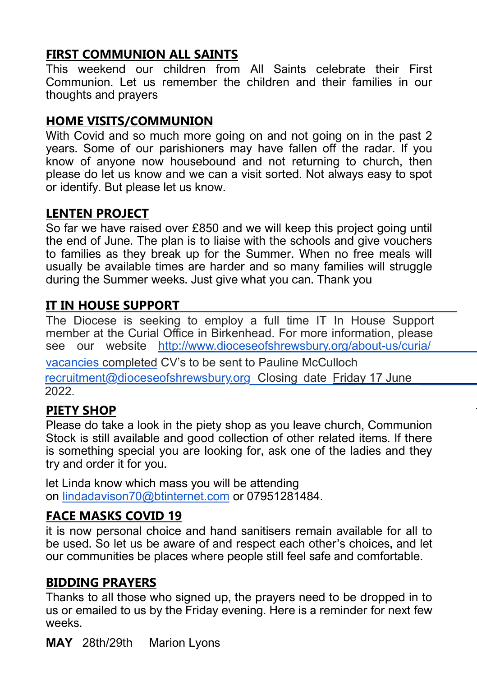#### **FIRST COMMUNION ALL SAINTS**

This weekend our children from All Saints celebrate their First Communion. Let us remember the children and their families in our thoughts and prayers

#### **HOME VISITS/COMMUNION**

With Covid and so much more going on and not going on in the past 2 years. Some of our parishioners may have fallen off the radar. If you know of anyone now housebound and not returning to church, then please do let us know and we can a visit sorted. Not always easy to spot or identify. But please let us know.

#### **LENTEN PROJECT**

So far we have raised over £850 and we will keep this project going until the end of June. The plan is to liaise with the schools and give vouchers to families as they break up for the Summer. When no free meals will usually be available times are harder and so many families will struggle during the Summer weeks. Just give what you can. Thank you

#### **IT IN HOUSE SUPPORT**

 The Diocese is seeking to employ a full time IT In House Support member at the Curial Office in Birkenhead. For more information, please see our website [http://www.dioceseofshrewsbury.org/about-us/curia/](http://www.dioceseofshrewsbury.org/about-us/curia/vacancies)

[vacancies](http://www.dioceseofshrewsbury.org/about-us/curia/vacancies) completed CV's to be sent to Pauline McCulloch

recruitment@dioceseofshrewsbury.org Closing date Friday 17 June 2022.

#### **PIETY SHOP**

Please do take a look in the piety shop as you leave church, Communion Stock is still available and good collection of other related items. If there is something special you are looking for, ask one of the ladies and they try and order it for you.

let Linda know which mass you will be attending on [lindadavison70@btinternet.com](mailto:lindadavison70@btinternet.com) or 07951281484.

#### **FACE MASKS COVID 19**

it is now personal choice and hand sanitisers remain available for all to be used. So let us be aware of and respect each other's choices, and let our communities be places where people still feel safe and comfortable.

#### **BIDDING PRAYERS**

Thanks to all those who signed up, the prayers need to be dropped in to us or emailed to us by the Friday evening. Here is a reminder for next few weeks.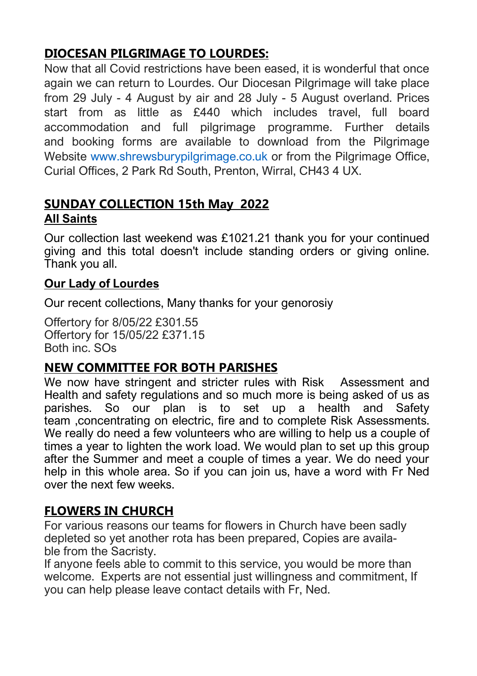#### **DIOCESAN PILGRIMAGE TO LOURDES:**

Now that all Covid restrictions have been eased, it is wonderful that once again we can return to Lourdes. Our Diocesan Pilgrimage will take place from 29 July - 4 August by air and 28 July - 5 August overland. Prices start from as little as £440 which includes travel, full board accommodation and full pilgrimage programme. Further details and booking forms are available to download from the Pilgrimage Website [www.shrewsburypilgrimage.co.uk](http://www.shrewsburypilgrimage.co.uk/) or from the Pilgrimage Office, Curial Offices, 2 Park Rd South, Prenton, Wirral, CH43 4 UX.

#### **SUNDAY COLLECTION 15th May 2022 All Saints**

Our collection last weekend was £1021.21 thank you for your continued giving and this total doesn't include standing orders or giving online. Thank you all.

#### **Our Lady of Lourdes**

Our recent collections, Many thanks for your genorosiy

Offertory for 8/05/22 £301.55 Offertory for 15/05/22 £371.15 Both inc. SOs

#### **NEW COMMITTEE FOR BOTH PARISHES**

We now have stringent and stricter rules with Risk Assessment and Health and safety regulations and so much more is being asked of us as parishes. So our plan is to set up a health and Safety team ,concentrating on electric, fire and to complete Risk Assessments. We really do need a few volunteers who are willing to help us a couple of times a year to lighten the work load. We would plan to set up this group after the Summer and meet a couple of times a year. We do need your help in this whole area. So if you can join us, have a word with Fr Ned over the next few weeks.

#### **FLOWERS IN CHURCH**

For various reasons our teams for flowers in Church have been sadly depleted so yet another rota has been prepared, Copies are available from the Sacristy.

If anyone feels able to commit to this service, you would be more than welcome. Experts are not essential just willingness and commitment, If you can help please leave contact details with Fr, Ned.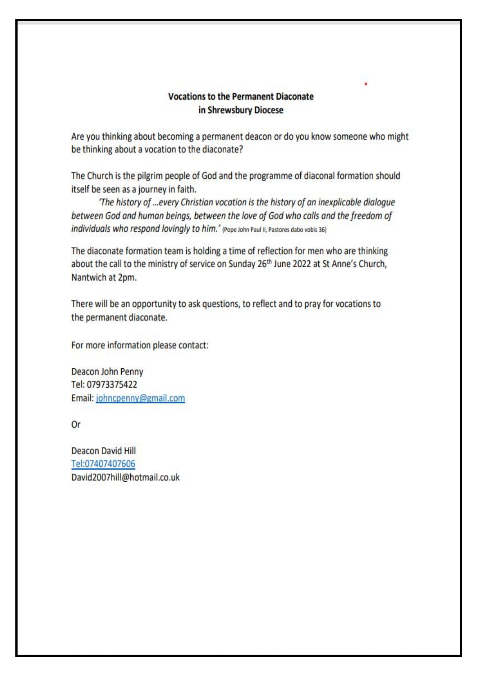#### Vocations to the Permanent Diaconate in Shrewsbury Diocese

Are you thinking about becoming a permanent deacon or do you know someone who might be thinking about a vocation to the diaconate?

The Church is the pilgrim people of God and the programme of diaconal formation should itself be seen as a journey in faith.

'The history of ...every Christian vocation is the history of an inexplicable dialogue between God and human beinas, between the love of God who calls and the freedom of individuals who respond lovingly to him.' (Pope John Paul II, Pastores dabo vobis 36)

The diaconate formation team is holding a time of reflection for men who are thinking about the call to the ministry of service on Sunday 26<sup>th</sup> June 2022 at St Anne's Church, Nantwich at 2pm.

There will be an opportunity to ask questions, to reflect and to pray for vocations to the permanent diaconate.

For more information please contact:

Deacon John Penny Tel: 07973375422 Email: johncpenny@gmail.com

 $0r$ 

**Deacon David Hill** Tel:07407407606 David2007hill@hotmail.co.uk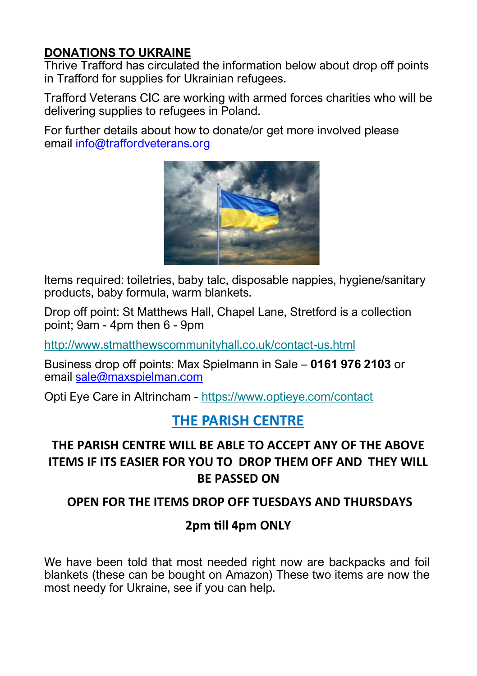#### **DONATIONS TO UKRAINE**

Thrive Trafford has circulated the information below about drop off points in Trafford for supplies for Ukrainian refugees.

Trafford Veterans CIC are working with armed forces charities who will be delivering supplies to refugees in Poland.

For further details about how to donate/or get more involved please email [info@traffordveterans.org](mailto:info@traffordveterans.org)



Items required: toiletries, baby talc, disposable nappies, hygiene/sanitary products, baby formula, warm blankets.

Drop off point: St Matthews Hall, Chapel Lane, Stretford is a collection point; 9am - 4pm then 6 - 9pm

[http://www.stmatthewscommunityhall.co.uk/contact](http://www.stmatthewscommunityhall.co.uk/contact-us.html)-us.html

Business drop off points: Max Spielmann in Sale – **0161 976 2103** or email [sale@maxspielman.com](mailto:sale@maxspielman.com)

Opti Eye Care in Altrincham - <https://www.optieye.com/contact>

#### **THE PARISH CENTRE**

#### **THE PARISH CENTRE WILL BE ABLE TO ACCEPT ANY OF THE ABOVE ITEMS IF ITS EASIER FOR YOU TO DROP THEM OFF AND THEY WILL BE PASSED ON**

#### **OPEN FOR THE ITEMS DROP OFF TUESDAYS AND THURSDAYS**

#### **2pm till 4pm ONLY**

We have been told that most needed right now are backpacks and foil blankets (these can be bought on Amazon) These two items are now the most needy for Ukraine, see if you can help.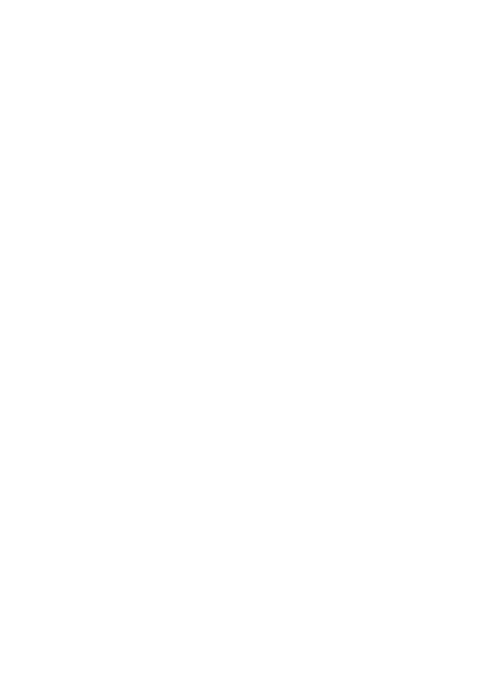**Firs Community Benefit Society was formed in 2021 by a group of residents, faith groups and businesses.**

**The community set up the society as a response to the opportunities and challenges faced by Sale West. It is an enterprise with the primary aim of serving the best interests of Sale, Trafford- both its businesses and residents.**

**The purpose of Firs Community benefit society is to secure, develop and hold on to community assets as a responsible investment vehicle for people and organisations to own an actual share of these investments.**

**Our Ambition**

**We have already begun work on our first community project, we are planning to create a new build community and sports centre at the junction of Manor Avenue and Firs Way.**

**The building will relocate services from the existing council owned Sale West Community centre and provide space for community events and activities, new enterprises, grassroots sports and a café.**

**If you think you can help us we need volunteers with a wide variety of skills and knowledge so please get in touch [Samuel.cooper@oursalewest.co.uk](mailto:Samuel.cooper@oursalewest.co.uk)**

**Or you can become a shareholder by investing £10 , register your details here: <https://www.surveymonkey.co.uk/r/FirsCBS>**

**Read more about our project : [www.facebook.com/firsCBS](http://www.facebook.com/firsCBS)**

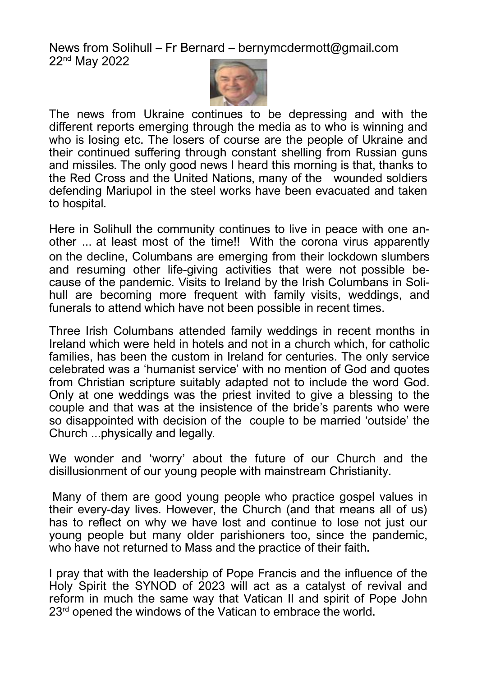News from Solihull – Fr Bernard – [bernymcdermott@gmail.com](mailto:bernymcdermott@gmail.com)  22nd May 2022



The news from Ukraine continues to be depressing and with the different reports emerging through the media as to who is winning and who is losing etc. The losers of course are the people of Ukraine and their continued suffering through constant shelling from Russian guns and missiles. The only good news I heard this morning is that, thanks to the Red Cross and the United Nations, many of the wounded soldiers defending Mariupol in the steel works have been evacuated and taken to hospital.

 Here in Solihull the community continues to live in peace with one an- other ... at least most of the time!! With the corona virus apparently on the decline, Columbans are emerging from their lockdown slumbers and resuming other life-giving activities that were not possible be- cause of the pandemic. Visits to Ireland by the Irish Columbans in Soli- hull are becoming more frequent with family visits, weddings, and funerals to attend which have not been possible in recent times.

 Three Irish Columbans attended family weddings in recent months in Ireland which were held in hotels and not in a church which, for catholic families, has been the custom in Ireland for centuries. The only service celebrated was a 'humanist service' with no mention of God and quotes from Christian scripture suitably adapted not to include the word God. Only at one weddings was the priest invited to give a blessing to the couple and that was at the insistence of the bride's parents who were so disappointed with decision of the couple to be married 'outside' the Church ...physically and legally.

We wonder and 'worry' about the future of our Church and the disillusionment of our young people with mainstream Christianity.

Many of them are good young people who practice gospel values in their every-day lives. However, the Church (and that means all of us) has to reflect on why we have lost and continue to lose not just our young people but many older parishioners too, since the pandemic, who have not returned to Mass and the practice of their faith.

I pray that with the leadership of Pope Francis and the influence of the Holy Spirit the SYNOD of 2023 will act as a catalyst of revival and reform in much the same way that Vatican II and spirit of Pope John 23<sup>rd</sup> opened the windows of the Vatican to embrace the world.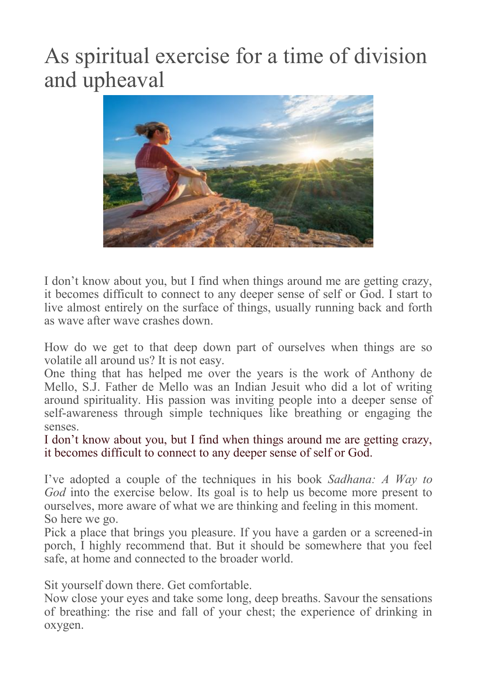# As spiritual exercise for a time of division and upheaval



I don't know about you, but I find when things around me are getting crazy, it becomes difficult to connect to any deeper sense of self or God. I start to live almost entirely on the surface of things, usually running back and forth as wave after wave crashes down.

How do we get to that deep down part of ourselves when things are so volatile all around us? It is not easy.

One thing that has helped me over the years is the work of Anthony de Mello, S.J. Father de Mello was an Indian Jesuit who did a lot of writing around spirituality. His passion was inviting people into a deeper sense of self-awareness through simple techniques like breathing or engaging the senses.

I don't know about you, but I find when things around me are getting crazy, it becomes difficult to connect to any deeper sense of self or God.

I've adopted a couple of the techniques in his book *Sadhana: A Way to God* into the exercise below. Its goal is to help us become more present to ourselves, more aware of what we are thinking and feeling in this moment. So here we go.

Pick a place that brings you pleasure. If you have a garden or a screened-in porch, I highly recommend that. But it should be somewhere that you feel safe, at home and connected to the broader world.

Sit yourself down there. Get comfortable.

Now close your eyes and take some long, deep breaths. Savour the sensations of breathing: the rise and fall of your chest; the experience of drinking in oxygen.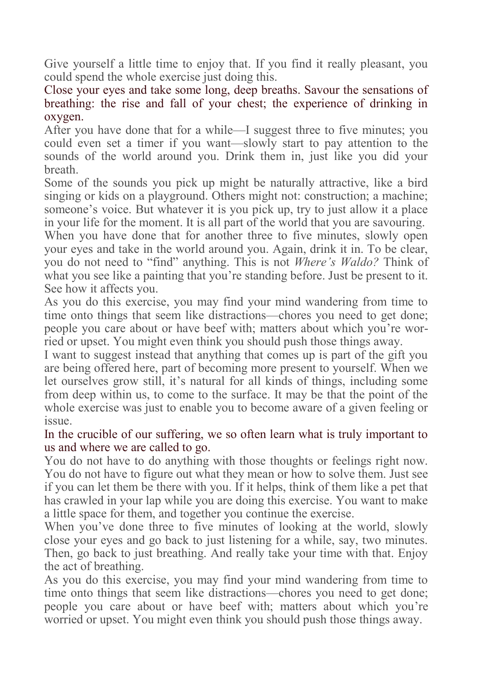Give yourself a little time to enjoy that. If you find it really pleasant, you could spend the whole exercise just doing this.

Close your eyes and take some long, deep breaths. Savour the sensations of breathing: the rise and fall of your chest; the experience of drinking in oxygen.

After you have done that for a while—I suggest three to five minutes; you could even set a timer if you want—slowly start to pay attention to the sounds of the world around you. Drink them in, just like you did your breath.

Some of the sounds you pick up might be naturally attractive, like a bird singing or kids on a playground. Others might not: construction; a machine; someone's voice. But whatever it is you pick up, try to just allow it a place in your life for the moment. It is all part of the world that you are savouring.

When you have done that for another three to five minutes, slowly open your eyes and take in the world around you. Again, drink it in. To be clear, you do not need to "find" anything. This is not *Where's Waldo?* Think of what you see like a painting that you're standing before. Just be present to it. See how it affects you.

As you do this exercise, you may find your mind wandering from time to time onto things that seem like distractions—chores you need to get done; people you care about or have beef with; matters about which you're worried or upset. You might even think you should push those things away.

I want to suggest instead that anything that comes up is part of the gift you are being offered here, part of becoming more present to yourself. When we let ourselves grow still, it's natural for all kinds of things, including some from deep within us, to come to the surface. It may be that the point of the whole exercise was just to enable you to become aware of a given feeling or issue.

#### In the crucible of our suffering, we so often learn what is truly important to us and where we are called to go.

You do not have to do anything with those thoughts or feelings right now. You do not have to figure out what they mean or how to solve them. Just see if you can let them be there with you. If it helps, think of them like a pet that has crawled in your lap while you are doing this exercise. You want to make a little space for them, and together you continue the exercise.

When you've done three to five minutes of looking at the world, slowly close your eyes and go back to just listening for a while, say, two minutes. Then, go back to just breathing. And really take your time with that. Enjoy the act of breathing.

As you do this exercise, you may find your mind wandering from time to time onto things that seem like distractions—chores you need to get done; people you care about or have beef with; matters about which you're worried or upset. You might even think you should push those things away.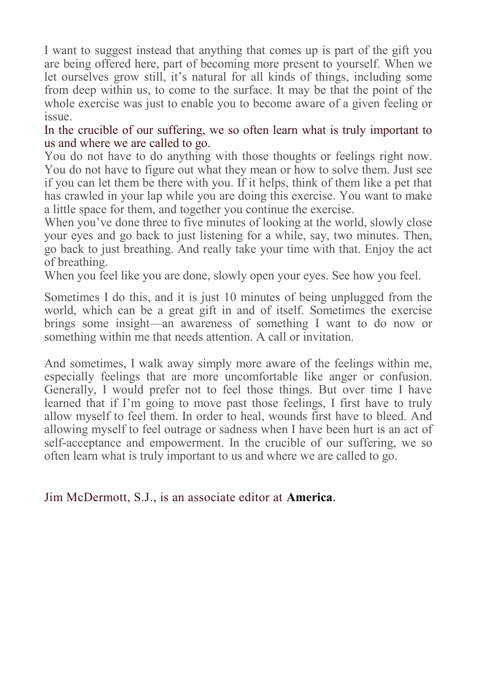I want to suggest instead that anything that comes up is part of the gift you are being offered here, part of becoming more present to yourself. When we let ourselves grow still, it's natural for all kinds of things, including some from deep within us, to come to the surface. It may be that the point of the whole exercise was just to enable you to become aware of a given feeling or issue.

In the crucible of our suffering, we so often learn what is truly important to us and where we are called to go.

You do not have to do anything with those thoughts or feelings right now. You do not have to figure out what they mean or how to solve them. Just see if you can let them be there with you. If it helps, think of them like a pet that has crawled in your lap while you are doing this exercise. You want to make a little space for them, and together you continue the exercise.

When you've done three to five minutes of looking at the world, slowly close your eyes and go back to just listening for a while, say, two minutes. Then, go back to just breathing. And really take your time with that. Enjoy the act of breathing.

When you feel like you are done, slowly open your eyes. See how you feel.

Sometimes I do this, and it is just 10 minutes of being unplugged from the world, which can be a great gift in and of itself. Sometimes the exercise brings some insight—an awareness of something I want to do now or something within me that needs attention. A call or invitation.

And sometimes, I walk away simply more aware of the feelings within me, especially feelings that are more uncomfortable like anger or confusion. Generally, I would prefer not to feel those things. But over time I have learned that if I'm going to move past those feelings, I first have to truly allow myself to feel them. In order to heal, wounds first have to bleed. And allowing myself to feel outrage or sadness when I have been hurt is an act of self-acceptance and empowerment. In the crucible of our suffering, we so often learn what is truly important to us and where we are called to go.

#### Jim McDermott, S.J., is an associate editor at **America**.